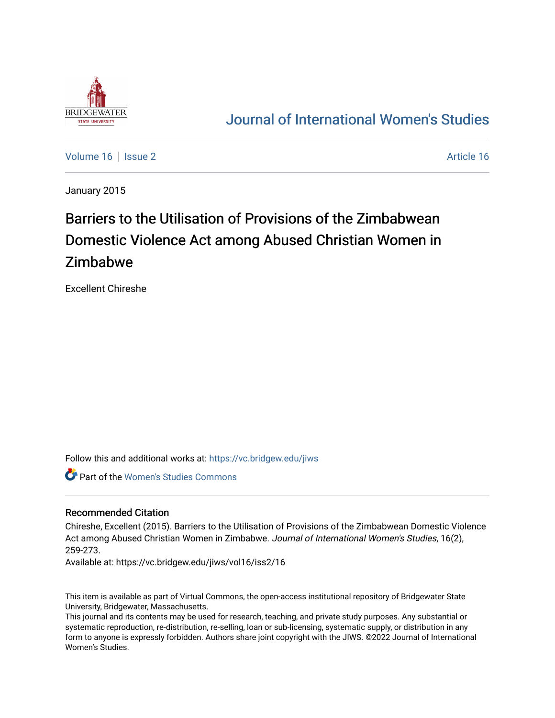

## [Journal of International Women's Studies](https://vc.bridgew.edu/jiws)

[Volume 16](https://vc.bridgew.edu/jiws/vol16) September 2 [Article 16](https://vc.bridgew.edu/jiws/vol16/iss2/16) Article 16

January 2015

# Barriers to the Utilisation of Provisions of the Zimbabwean Domestic Violence Act among Abused Christian Women in Zimbabwe

Excellent Chireshe

Follow this and additional works at: [https://vc.bridgew.edu/jiws](https://vc.bridgew.edu/jiws?utm_source=vc.bridgew.edu%2Fjiws%2Fvol16%2Fiss2%2F16&utm_medium=PDF&utm_campaign=PDFCoverPages)

Part of the [Women's Studies Commons](http://network.bepress.com/hgg/discipline/561?utm_source=vc.bridgew.edu%2Fjiws%2Fvol16%2Fiss2%2F16&utm_medium=PDF&utm_campaign=PDFCoverPages) 

#### Recommended Citation

Chireshe, Excellent (2015). Barriers to the Utilisation of Provisions of the Zimbabwean Domestic Violence Act among Abused Christian Women in Zimbabwe. Journal of International Women's Studies, 16(2), 259-273.

Available at: https://vc.bridgew.edu/jiws/vol16/iss2/16

This item is available as part of Virtual Commons, the open-access institutional repository of Bridgewater State University, Bridgewater, Massachusetts.

This journal and its contents may be used for research, teaching, and private study purposes. Any substantial or systematic reproduction, re-distribution, re-selling, loan or sub-licensing, systematic supply, or distribution in any form to anyone is expressly forbidden. Authors share joint copyright with the JIWS. ©2022 Journal of International Women's Studies.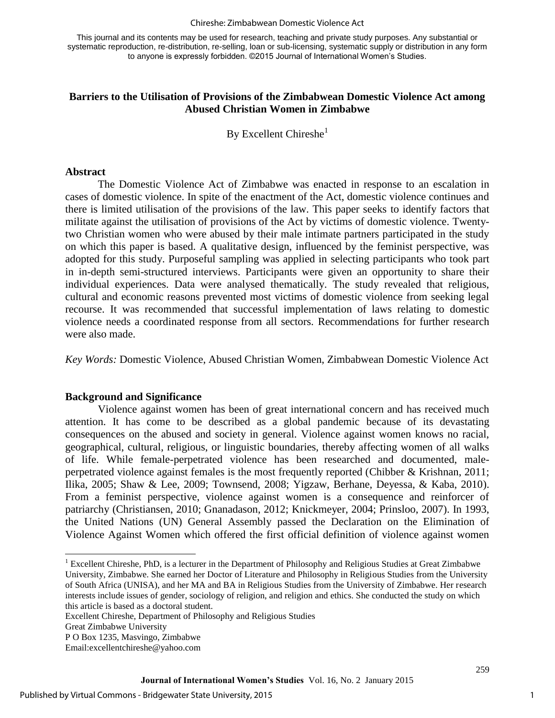#### Chireshe: Zimbabwean Domestic Violence Act

This journal and its contents may be used for research, teaching and private study purposes. Any substantial or systematic reproduction, re-distribution, re-selling, loan or sub-licensing, systematic supply or distribution in any form to anyone is expressly forbidden. ©2015 Journal of International Women's Studies.

#### **Barriers to the Utilisation of Provisions of the Zimbabwean Domestic Violence Act among Abused Christian Women in Zimbabwe**

By Excellent Chireshe $<sup>1</sup>$ </sup>

#### **Abstract**

The Domestic Violence Act of Zimbabwe was enacted in response to an escalation in cases of domestic violence. In spite of the enactment of the Act, domestic violence continues and there is limited utilisation of the provisions of the law. This paper seeks to identify factors that militate against the utilisation of provisions of the Act by victims of domestic violence. Twentytwo Christian women who were abused by their male intimate partners participated in the study on which this paper is based. A qualitative design, influenced by the feminist perspective, was adopted for this study. Purposeful sampling was applied in selecting participants who took part in in-depth semi-structured interviews. Participants were given an opportunity to share their individual experiences. Data were analysed thematically. The study revealed that religious, cultural and economic reasons prevented most victims of domestic violence from seeking legal recourse. It was recommended that successful implementation of laws relating to domestic violence needs a coordinated response from all sectors. Recommendations for further research were also made.

*Key Words:* Domestic Violence, Abused Christian Women, Zimbabwean Domestic Violence Act

#### **Background and Significance**

Violence against women has been of great international concern and has received much attention. It has come to be described as a global pandemic because of its devastating consequences on the abused and society in general. Violence against women knows no racial, geographical, cultural, religious, or linguistic boundaries, thereby affecting women of all walks of life. While female-perpetrated violence has been researched and documented, maleperpetrated violence against females is the most frequently reported (Chibber & Krishnan, 2011; Ilika, 2005; Shaw & Lee, 2009; Townsend, 2008; Yigzaw, Berhane, Deyessa, & Kaba, 2010). From a feminist perspective, violence against women is a consequence and reinforcer of patriarchy (Christiansen, 2010; Gnanadason, 2012; Knickmeyer, 2004; Prinsloo, 2007). In 1993, the United Nations (UN) General Assembly passed the Declaration on the Elimination of Violence Against Women which offered the first official definition of violence against women

 $\overline{\phantom{a}}$ 

<sup>&</sup>lt;sup>1</sup> Excellent Chireshe, PhD, is a lecturer in the Department of Philosophy and Religious Studies at Great Zimbabwe University, Zimbabwe. She earned her Doctor of Literature and Philosophy in Religious Studies from the University of South Africa (UNISA), and her MA and BA in Religious Studies from the University of Zimbabwe. Her research interests include issues of gender, sociology of religion, and religion and ethics. She conducted the study on which this article is based as a doctoral student.

Excellent Chireshe, Department of Philosophy and Religious Studies

Great Zimbabwe University

P O Box 1235, Masvingo, Zimbabwe

Email:excellentchireshe@yahoo.com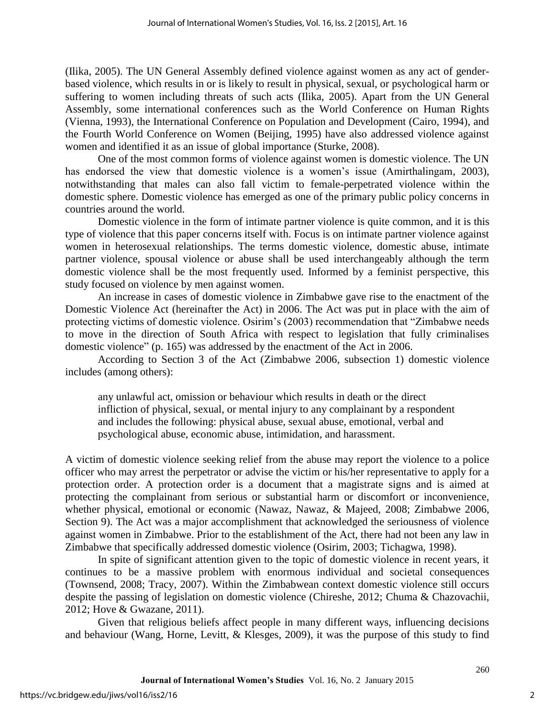(Ilika, 2005). The UN General Assembly defined violence against women as any act of genderbased violence, which results in or is likely to result in physical, sexual, or psychological harm or suffering to women including threats of such acts (Ilika, 2005). Apart from the UN General Assembly, some international conferences such as the World Conference on Human Rights (Vienna, 1993), the International Conference on Population and Development (Cairo, 1994), and the Fourth World Conference on Women (Beijing, 1995) have also addressed violence against women and identified it as an issue of global importance (Sturke, 2008).

One of the most common forms of violence against women is domestic violence. The UN has endorsed the view that domestic violence is a women's issue (Amirthalingam, 2003), notwithstanding that males can also fall victim to female-perpetrated violence within the domestic sphere. Domestic violence has emerged as one of the primary public policy concerns in countries around the world.

Domestic violence in the form of intimate partner violence is quite common, and it is this type of violence that this paper concerns itself with. Focus is on intimate partner violence against women in heterosexual relationships. The terms domestic violence, domestic abuse, intimate partner violence, spousal violence or abuse shall be used interchangeably although the term domestic violence shall be the most frequently used. Informed by a feminist perspective, this study focused on violence by men against women.

An increase in cases of domestic violence in Zimbabwe gave rise to the enactment of the Domestic Violence Act (hereinafter the Act) in 2006. The Act was put in place with the aim of protecting victims of domestic violence. Osirim's (2003) recommendation that "Zimbabwe needs to move in the direction of South Africa with respect to legislation that fully criminalises domestic violence" (p. 165) was addressed by the enactment of the Act in 2006.

According to Section 3 of the Act (Zimbabwe 2006, subsection 1) domestic violence includes (among others):

any unlawful act, omission or behaviour which results in death or the direct infliction of physical, sexual, or mental injury to any complainant by a respondent and includes the following: physical abuse, sexual abuse, emotional, verbal and psychological abuse, economic abuse, intimidation, and harassment.

A victim of domestic violence seeking relief from the abuse may report the violence to a police officer who may arrest the perpetrator or advise the victim or his/her representative to apply for a protection order. A protection order is a document that a magistrate signs and is aimed at protecting the complainant from serious or substantial harm or discomfort or inconvenience, whether physical, emotional or economic (Nawaz, Nawaz, & Majeed, 2008; Zimbabwe 2006, Section 9). The Act was a major accomplishment that acknowledged the seriousness of violence against women in Zimbabwe. Prior to the establishment of the Act, there had not been any law in Zimbabwe that specifically addressed domestic violence (Osirim, 2003; Tichagwa, 1998).

 In spite of significant attention given to the topic of domestic violence in recent years, it continues to be a massive problem with enormous individual and societal consequences (Townsend, 2008; Tracy, 2007). Within the Zimbabwean context domestic violence still occurs despite the passing of legislation on domestic violence (Chireshe, 2012; Chuma & Chazovachii, 2012; Hove & Gwazane, 2011).

Given that religious beliefs affect people in many different ways, influencing decisions and behaviour (Wang, Horne, Levitt, & Klesges, 2009), it was the purpose of this study to find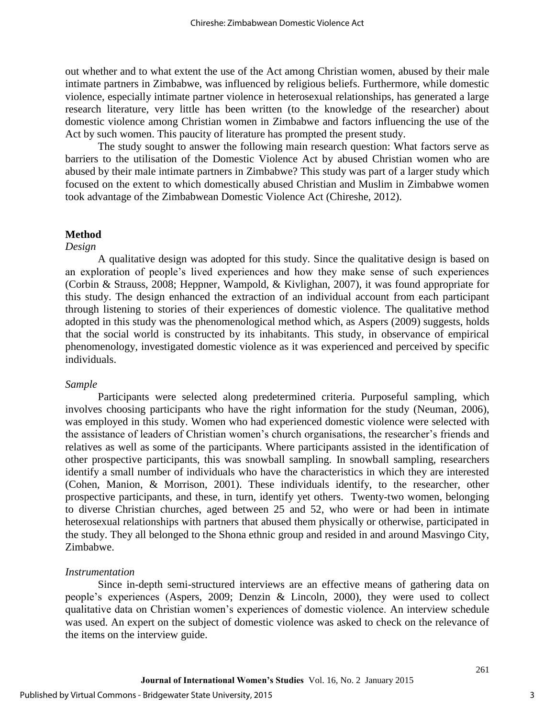out whether and to what extent the use of the Act among Christian women, abused by their male intimate partners in Zimbabwe, was influenced by religious beliefs. Furthermore, while domestic violence, especially intimate partner violence in heterosexual relationships, has generated a large research literature, very little has been written (to the knowledge of the researcher) about domestic violence among Christian women in Zimbabwe and factors influencing the use of the Act by such women. This paucity of literature has prompted the present study.

The study sought to answer the following main research question: What factors serve as barriers to the utilisation of the Domestic Violence Act by abused Christian women who are abused by their male intimate partners in Zimbabwe? This study was part of a larger study which focused on the extent to which domestically abused Christian and Muslim in Zimbabwe women took advantage of the Zimbabwean Domestic Violence Act (Chireshe, 2012).

#### **Method**

#### *Design*

A qualitative design was adopted for this study. Since the qualitative design is based on an exploration of people's lived experiences and how they make sense of such experiences (Corbin & Strauss, 2008; Heppner, Wampold, & Kivlighan, 2007), it was found appropriate for this study. The design enhanced the extraction of an individual account from each participant through listening to stories of their experiences of domestic violence. The qualitative method adopted in this study was the phenomenological method which, as Aspers (2009) suggests, holds that the social world is constructed by its inhabitants. This study, in observance of empirical phenomenology, investigated domestic violence as it was experienced and perceived by specific individuals.

#### *Sample*

Participants were selected along predetermined criteria. Purposeful sampling, which involves choosing participants who have the right information for the study (Neuman, 2006), was employed in this study. Women who had experienced domestic violence were selected with the assistance of leaders of Christian women's church organisations, the researcher's friends and relatives as well as some of the participants. Where participants assisted in the identification of other prospective participants, this was snowball sampling. In snowball sampling, researchers identify a small number of individuals who have the characteristics in which they are interested (Cohen, Manion, & Morrison, 2001). These individuals identify, to the researcher, other prospective participants, and these, in turn, identify yet others. Twenty-two women, belonging to diverse Christian churches, aged between 25 and 52, who were or had been in intimate heterosexual relationships with partners that abused them physically or otherwise, participated in the study. They all belonged to the Shona ethnic group and resided in and around Masvingo City, Zimbabwe.

#### *Instrumentation*

Since in-depth semi-structured interviews are an effective means of gathering data on people's experiences (Aspers, 2009; Denzin & Lincoln, 2000), they were used to collect qualitative data on Christian women's experiences of domestic violence. An interview schedule was used. An expert on the subject of domestic violence was asked to check on the relevance of the items on the interview guide.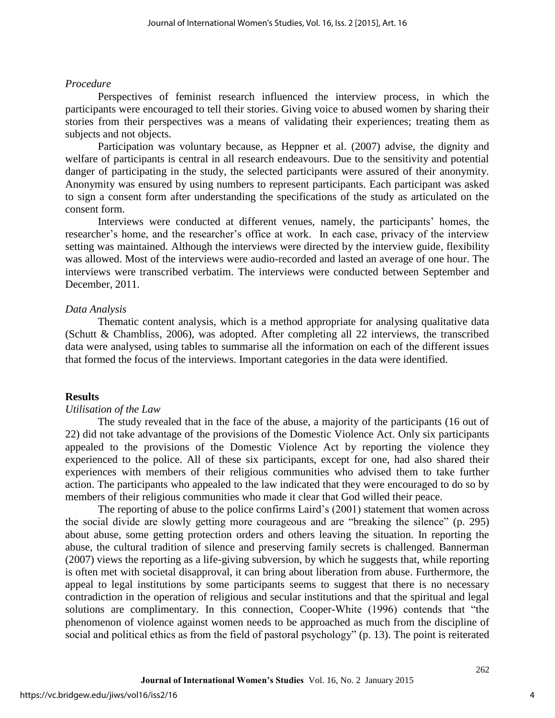#### *Procedure*

Perspectives of feminist research influenced the interview process, in which the participants were encouraged to tell their stories. Giving voice to abused women by sharing their stories from their perspectives was a means of validating their experiences; treating them as subjects and not objects.

Participation was voluntary because, as Heppner et al. (2007) advise, the dignity and welfare of participants is central in all research endeavours. Due to the sensitivity and potential danger of participating in the study, the selected participants were assured of their anonymity. Anonymity was ensured by using numbers to represent participants. Each participant was asked to sign a consent form after understanding the specifications of the study as articulated on the consent form.

Interviews were conducted at different venues, namely, the participants' homes, the researcher's home, and the researcher's office at work. In each case, privacy of the interview setting was maintained. Although the interviews were directed by the interview guide, flexibility was allowed. Most of the interviews were audio-recorded and lasted an average of one hour. The interviews were transcribed verbatim. The interviews were conducted between September and December, 2011.

#### *Data Analysis*

Thematic content analysis, which is a method appropriate for analysing qualitative data (Schutt & Chambliss, 2006), was adopted. After completing all 22 interviews, the transcribed data were analysed, using tables to summarise all the information on each of the different issues that formed the focus of the interviews. Important categories in the data were identified.

#### **Results**

#### *Utilisation of the Law*

The study revealed that in the face of the abuse, a majority of the participants (16 out of 22) did not take advantage of the provisions of the Domestic Violence Act. Only six participants appealed to the provisions of the Domestic Violence Act by reporting the violence they experienced to the police. All of these six participants, except for one, had also shared their experiences with members of their religious communities who advised them to take further action. The participants who appealed to the law indicated that they were encouraged to do so by members of their religious communities who made it clear that God willed their peace.

The reporting of abuse to the police confirms Laird's (2001) statement that women across the social divide are slowly getting more courageous and are "breaking the silence" (p. 295) about abuse, some getting protection orders and others leaving the situation. In reporting the abuse, the cultural tradition of silence and preserving family secrets is challenged. Bannerman (2007) views the reporting as a life-giving subversion, by which he suggests that, while reporting is often met with societal disapproval, it can bring about liberation from abuse. Furthermore, the appeal to legal institutions by some participants seems to suggest that there is no necessary contradiction in the operation of religious and secular institutions and that the spiritual and legal solutions are complimentary. In this connection, Cooper-White (1996) contends that "the phenomenon of violence against women needs to be approached as much from the discipline of social and political ethics as from the field of pastoral psychology" (p. 13). The point is reiterated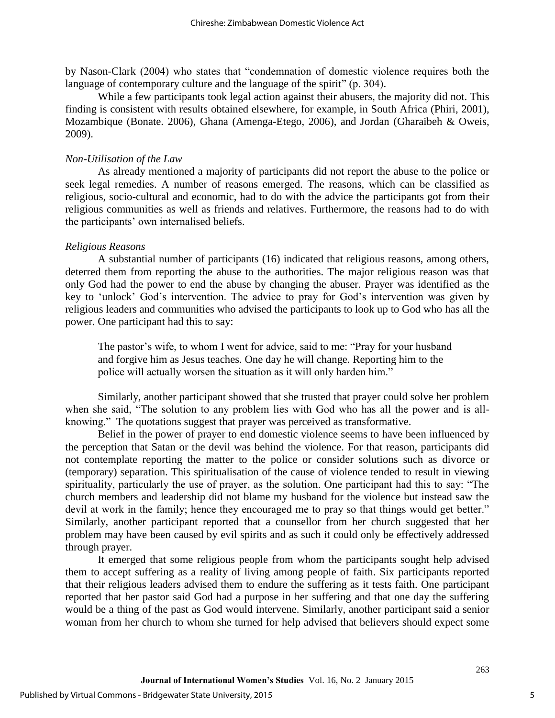by Nason-Clark (2004) who states that "condemnation of domestic violence requires both the language of contemporary culture and the language of the spirit" (p. 304).

While a few participants took legal action against their abusers, the majority did not. This finding is consistent with results obtained elsewhere, for example, in South Africa (Phiri, 2001), Mozambique (Bonate. 2006), Ghana (Amenga-Etego, 2006), and Jordan (Gharaibeh & Oweis, 2009).

#### *Non-Utilisation of the Law*

As already mentioned a majority of participants did not report the abuse to the police or seek legal remedies. A number of reasons emerged. The reasons, which can be classified as religious, socio-cultural and economic, had to do with the advice the participants got from their religious communities as well as friends and relatives. Furthermore, the reasons had to do with the participants' own internalised beliefs.

#### *Religious Reasons*

A substantial number of participants (16) indicated that religious reasons, among others, deterred them from reporting the abuse to the authorities. The major religious reason was that only God had the power to end the abuse by changing the abuser. Prayer was identified as the key to 'unlock' God's intervention. The advice to pray for God's intervention was given by religious leaders and communities who advised the participants to look up to God who has all the power. One participant had this to say:

The pastor's wife, to whom I went for advice, said to me: "Pray for your husband and forgive him as Jesus teaches. One day he will change. Reporting him to the police will actually worsen the situation as it will only harden him."

Similarly, another participant showed that she trusted that prayer could solve her problem when she said, "The solution to any problem lies with God who has all the power and is allknowing." The quotations suggest that prayer was perceived as transformative.

Belief in the power of prayer to end domestic violence seems to have been influenced by the perception that Satan or the devil was behind the violence. For that reason, participants did not contemplate reporting the matter to the police or consider solutions such as divorce or (temporary) separation. This spiritualisation of the cause of violence tended to result in viewing spirituality, particularly the use of prayer, as the solution. One participant had this to say: "The church members and leadership did not blame my husband for the violence but instead saw the devil at work in the family; hence they encouraged me to pray so that things would get better." Similarly, another participant reported that a counsellor from her church suggested that her problem may have been caused by evil spirits and as such it could only be effectively addressed through prayer.

It emerged that some religious people from whom the participants sought help advised them to accept suffering as a reality of living among people of faith. Six participants reported that their religious leaders advised them to endure the suffering as it tests faith. One participant reported that her pastor said God had a purpose in her suffering and that one day the suffering would be a thing of the past as God would intervene. Similarly, another participant said a senior woman from her church to whom she turned for help advised that believers should expect some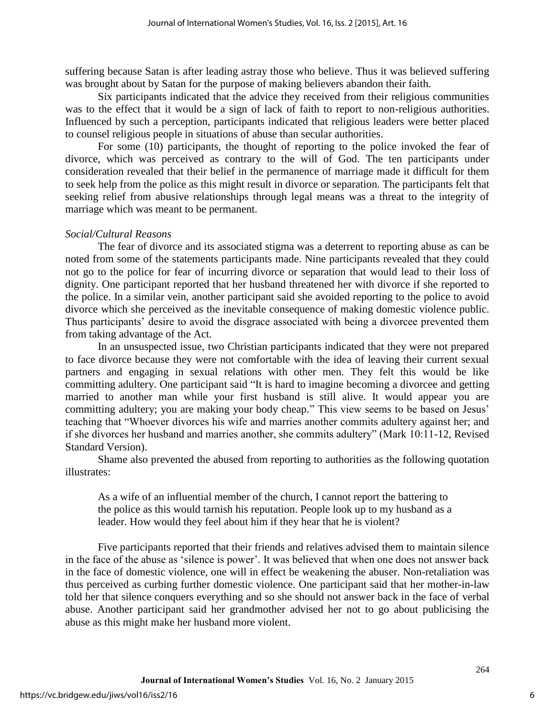suffering because Satan is after leading astray those who believe. Thus it was believed suffering was brought about by Satan for the purpose of making believers abandon their faith.

Six participants indicated that the advice they received from their religious communities was to the effect that it would be a sign of lack of faith to report to non-religious authorities. Influenced by such a perception, participants indicated that religious leaders were better placed to counsel religious people in situations of abuse than secular authorities.

For some (10) participants, the thought of reporting to the police invoked the fear of divorce, which was perceived as contrary to the will of God. The ten participants under consideration revealed that their belief in the permanence of marriage made it difficult for them to seek help from the police as this might result in divorce or separation. The participants felt that seeking relief from abusive relationships through legal means was a threat to the integrity of marriage which was meant to be permanent.

### *Social/Cultural Reasons*

The fear of divorce and its associated stigma was a deterrent to reporting abuse as can be noted from some of the statements participants made. Nine participants revealed that they could not go to the police for fear of incurring divorce or separation that would lead to their loss of dignity. One participant reported that her husband threatened her with divorce if she reported to the police. In a similar vein, another participant said she avoided reporting to the police to avoid divorce which she perceived as the inevitable consequence of making domestic violence public. Thus participants' desire to avoid the disgrace associated with being a divorcee prevented them from taking advantage of the Act.

In an unsuspected issue, two Christian participants indicated that they were not prepared to face divorce because they were not comfortable with the idea of leaving their current sexual partners and engaging in sexual relations with other men. They felt this would be like committing adultery. One participant said "It is hard to imagine becoming a divorcee and getting married to another man while your first husband is still alive. It would appear you are committing adultery; you are making your body cheap." This view seems to be based on Jesus' teaching that "Whoever divorces his wife and marries another commits adultery against her; and if she divorces her husband and marries another, she commits adultery" (Mark 10:11-12, Revised Standard Version).

Shame also prevented the abused from reporting to authorities as the following quotation illustrates:

As a wife of an influential member of the church, I cannot report the battering to the police as this would tarnish his reputation. People look up to my husband as a leader. How would they feel about him if they hear that he is violent?

Five participants reported that their friends and relatives advised them to maintain silence in the face of the abuse as 'silence is power'. It was believed that when one does not answer back in the face of domestic violence, one will in effect be weakening the abuser. Non-retaliation was thus perceived as curbing further domestic violence. One participant said that her mother-in-law told her that silence conquers everything and so she should not answer back in the face of verbal abuse. Another participant said her grandmother advised her not to go about publicising the abuse as this might make her husband more violent.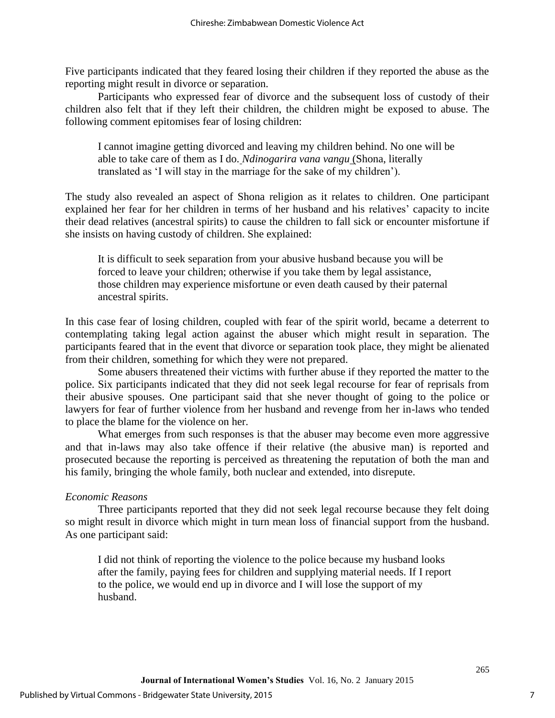Five participants indicated that they feared losing their children if they reported the abuse as the reporting might result in divorce or separation.

Participants who expressed fear of divorce and the subsequent loss of custody of their children also felt that if they left their children, the children might be exposed to abuse. The following comment epitomises fear of losing children:

I cannot imagine getting divorced and leaving my children behind. No one will be able to take care of them as I do. *Ndinogarira vana vangu* (Shona, literally translated as 'I will stay in the marriage for the sake of my children').

The study also revealed an aspect of Shona religion as it relates to children. One participant explained her fear for her children in terms of her husband and his relatives' capacity to incite their dead relatives (ancestral spirits) to cause the children to fall sick or encounter misfortune if she insists on having custody of children. She explained:

It is difficult to seek separation from your abusive husband because you will be forced to leave your children; otherwise if you take them by legal assistance, those children may experience misfortune or even death caused by their paternal ancestral spirits.

In this case fear of losing children, coupled with fear of the spirit world, became a deterrent to contemplating taking legal action against the abuser which might result in separation. The participants feared that in the event that divorce or separation took place, they might be alienated from their children, something for which they were not prepared.

Some abusers threatened their victims with further abuse if they reported the matter to the police. Six participants indicated that they did not seek legal recourse for fear of reprisals from their abusive spouses. One participant said that she never thought of going to the police or lawyers for fear of further violence from her husband and revenge from her in-laws who tended to place the blame for the violence on her.

What emerges from such responses is that the abuser may become even more aggressive and that in-laws may also take offence if their relative (the abusive man) is reported and prosecuted because the reporting is perceived as threatening the reputation of both the man and his family, bringing the whole family, both nuclear and extended, into disrepute.

### *Economic Reasons*

Three participants reported that they did not seek legal recourse because they felt doing so might result in divorce which might in turn mean loss of financial support from the husband. As one participant said:

I did not think of reporting the violence to the police because my husband looks after the family, paying fees for children and supplying material needs. If I report to the police, we would end up in divorce and I will lose the support of my husband.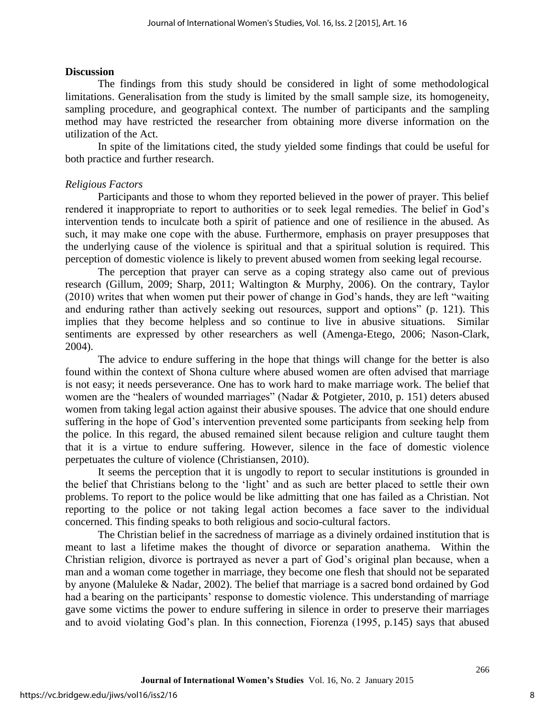#### **Discussion**

The findings from this study should be considered in light of some methodological limitations. Generalisation from the study is limited by the small sample size, its homogeneity, sampling procedure, and geographical context. The number of participants and the sampling method may have restricted the researcher from obtaining more diverse information on the utilization of the Act.

In spite of the limitations cited, the study yielded some findings that could be useful for both practice and further research.

#### *Religious Factors*

Participants and those to whom they reported believed in the power of prayer. This belief rendered it inappropriate to report to authorities or to seek legal remedies. The belief in God's intervention tends to inculcate both a spirit of patience and one of resilience in the abused. As such, it may make one cope with the abuse. Furthermore, emphasis on prayer presupposes that the underlying cause of the violence is spiritual and that a spiritual solution is required. This perception of domestic violence is likely to prevent abused women from seeking legal recourse.

The perception that prayer can serve as a coping strategy also came out of previous research (Gillum, 2009; Sharp, 2011; Waltington & Murphy, 2006). On the contrary, Taylor (2010) writes that when women put their power of change in God's hands, they are left "waiting and enduring rather than actively seeking out resources, support and options" (p. 121). This implies that they become helpless and so continue to live in abusive situations. Similar sentiments are expressed by other researchers as well (Amenga-Etego, 2006; Nason-Clark, 2004).

The advice to endure suffering in the hope that things will change for the better is also found within the context of Shona culture where abused women are often advised that marriage is not easy; it needs perseverance. One has to work hard to make marriage work. The belief that women are the "healers of wounded marriages" (Nadar & Potgieter, 2010, p. 151) deters abused women from taking legal action against their abusive spouses. The advice that one should endure suffering in the hope of God's intervention prevented some participants from seeking help from the police. In this regard, the abused remained silent because religion and culture taught them that it is a virtue to endure suffering. However, silence in the face of domestic violence perpetuates the culture of violence (Christiansen, 2010).

It seems the perception that it is ungodly to report to secular institutions is grounded in the belief that Christians belong to the 'light' and as such are better placed to settle their own problems. To report to the police would be like admitting that one has failed as a Christian. Not reporting to the police or not taking legal action becomes a face saver to the individual concerned. This finding speaks to both religious and socio-cultural factors.

The Christian belief in the sacredness of marriage as a divinely ordained institution that is meant to last a lifetime makes the thought of divorce or separation anathema. Within the Christian religion, divorce is portrayed as never a part of God's original plan because, when a man and a woman come together in marriage, they become one flesh that should not be separated by anyone (Maluleke & Nadar, 2002). The belief that marriage is a sacred bond ordained by God had a bearing on the participants' response to domestic violence. This understanding of marriage gave some victims the power to endure suffering in silence in order to preserve their marriages and to avoid violating God's plan. In this connection, Fiorenza (1995, p.145) says that abused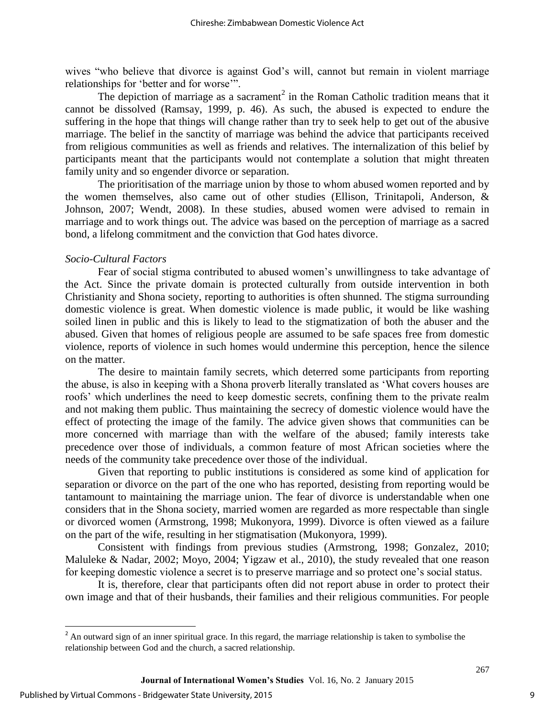wives "who believe that divorce is against God's will, cannot but remain in violent marriage relationships for 'better and for worse'".

The depiction of marriage as a sacrament<sup>2</sup> in the Roman Catholic tradition means that it cannot be dissolved (Ramsay, 1999, p. 46). As such, the abused is expected to endure the suffering in the hope that things will change rather than try to seek help to get out of the abusive marriage. The belief in the sanctity of marriage was behind the advice that participants received from religious communities as well as friends and relatives. The internalization of this belief by participants meant that the participants would not contemplate a solution that might threaten family unity and so engender divorce or separation.

The prioritisation of the marriage union by those to whom abused women reported and by the women themselves, also came out of other studies (Ellison, Trinitapoli, Anderson, & Johnson, 2007; Wendt, 2008). In these studies, abused women were advised to remain in marriage and to work things out. The advice was based on the perception of marriage as a sacred bond, a lifelong commitment and the conviction that God hates divorce.

#### *Socio-Cultural Factors*

Fear of social stigma contributed to abused women's unwillingness to take advantage of the Act. Since the private domain is protected culturally from outside intervention in both Christianity and Shona society, reporting to authorities is often shunned. The stigma surrounding domestic violence is great. When domestic violence is made public, it would be like washing soiled linen in public and this is likely to lead to the stigmatization of both the abuser and the abused. Given that homes of religious people are assumed to be safe spaces free from domestic violence, reports of violence in such homes would undermine this perception, hence the silence on the matter.

The desire to maintain family secrets, which deterred some participants from reporting the abuse, is also in keeping with a Shona proverb literally translated as 'What covers houses are roofs' which underlines the need to keep domestic secrets, confining them to the private realm and not making them public. Thus maintaining the secrecy of domestic violence would have the effect of protecting the image of the family. The advice given shows that communities can be more concerned with marriage than with the welfare of the abused; family interests take precedence over those of individuals, a common feature of most African societies where the needs of the community take precedence over those of the individual.

Given that reporting to public institutions is considered as some kind of application for separation or divorce on the part of the one who has reported, desisting from reporting would be tantamount to maintaining the marriage union. The fear of divorce is understandable when one considers that in the Shona society, married women are regarded as more respectable than single or divorced women (Armstrong, 1998; Mukonyora, 1999). Divorce is often viewed as a failure on the part of the wife, resulting in her stigmatisation (Mukonyora, 1999).

Consistent with findings from previous studies (Armstrong, 1998; Gonzalez, 2010; Maluleke & Nadar, 2002; Moyo, 2004; Yigzaw et al., 2010), the study revealed that one reason for keeping domestic violence a secret is to preserve marriage and so protect one's social status.

It is, therefore, clear that participants often did not report abuse in order to protect their own image and that of their husbands, their families and their religious communities. For people

l

 $2^{2}$  An outward sign of an inner spiritual grace. In this regard, the marriage relationship is taken to symbolise the relationship between God and the church, a sacred relationship.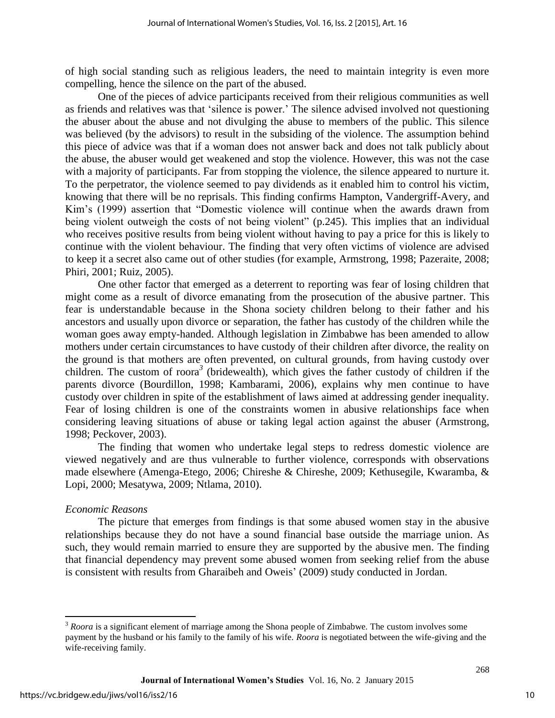of high social standing such as religious leaders, the need to maintain integrity is even more compelling, hence the silence on the part of the abused.

One of the pieces of advice participants received from their religious communities as well as friends and relatives was that 'silence is power.' The silence advised involved not questioning the abuser about the abuse and not divulging the abuse to members of the public. This silence was believed (by the advisors) to result in the subsiding of the violence. The assumption behind this piece of advice was that if a woman does not answer back and does not talk publicly about the abuse, the abuser would get weakened and stop the violence. However, this was not the case with a majority of participants. Far from stopping the violence, the silence appeared to nurture it. To the perpetrator, the violence seemed to pay dividends as it enabled him to control his victim, knowing that there will be no reprisals. This finding confirms Hampton, Vandergriff-Avery, and Kim's (1999) assertion that "Domestic violence will continue when the awards drawn from being violent outweigh the costs of not being violent" (p.245). This implies that an individual who receives positive results from being violent without having to pay a price for this is likely to continue with the violent behaviour. The finding that very often victims of violence are advised to keep it a secret also came out of other studies (for example, Armstrong, 1998; Pazeraite, 2008; Phiri, 2001; Ruiz, 2005).

One other factor that emerged as a deterrent to reporting was fear of losing children that might come as a result of divorce emanating from the prosecution of the abusive partner. This fear is understandable because in the Shona society children belong to their father and his ancestors and usually upon divorce or separation, the father has custody of the children while the woman goes away empty-handed. Although legislation in Zimbabwe has been amended to allow mothers under certain circumstances to have custody of their children after divorce, the reality on the ground is that mothers are often prevented, on cultural grounds, from having custody over children. The custom of roora*<sup>3</sup>* (bridewealth), which gives the father custody of children if the parents divorce (Bourdillon, 1998; Kambarami, 2006), explains why men continue to have custody over children in spite of the establishment of laws aimed at addressing gender inequality. Fear of losing children is one of the constraints women in abusive relationships face when considering leaving situations of abuse or taking legal action against the abuser (Armstrong, 1998; Peckover, 2003).

The finding that women who undertake legal steps to redress domestic violence are viewed negatively and are thus vulnerable to further violence, corresponds with observations made elsewhere (Amenga-Etego, 2006; Chireshe & Chireshe, 2009; Kethusegile, Kwaramba, & Lopi, 2000; Mesatywa, 2009; Ntlama, 2010).

### *Economic Reasons*

The picture that emerges from findings is that some abused women stay in the abusive relationships because they do not have a sound financial base outside the marriage union. As such, they would remain married to ensure they are supported by the abusive men. The finding that financial dependency may prevent some abused women from seeking relief from the abuse is consistent with results from Gharaibeh and Oweis' (2009) study conducted in Jordan.

 $\overline{\phantom{a}}$ 

<sup>&</sup>lt;sup>3</sup> *Roora* is a significant element of marriage among the Shona people of Zimbabwe. The custom involves some payment by the husband or his family to the family of his wife. *Roora* is negotiated between the wife-giving and the wife-receiving family.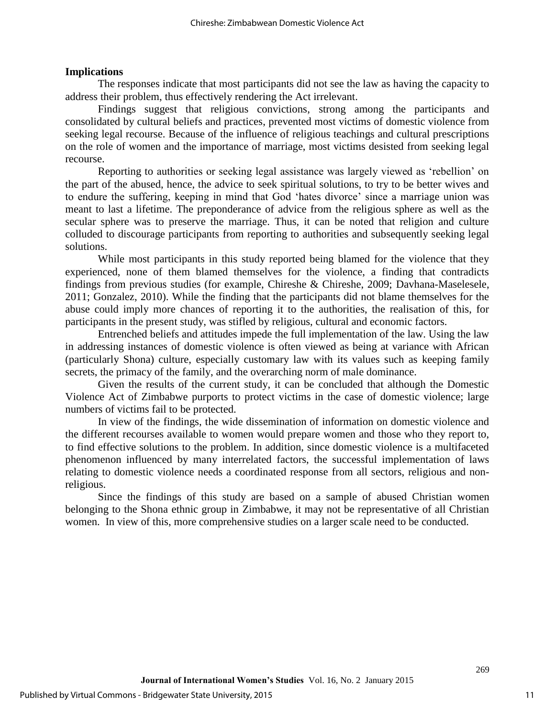#### **Implications**

The responses indicate that most participants did not see the law as having the capacity to address their problem, thus effectively rendering the Act irrelevant.

Findings suggest that religious convictions, strong among the participants and consolidated by cultural beliefs and practices, prevented most victims of domestic violence from seeking legal recourse. Because of the influence of religious teachings and cultural prescriptions on the role of women and the importance of marriage, most victims desisted from seeking legal recourse.

Reporting to authorities or seeking legal assistance was largely viewed as 'rebellion' on the part of the abused, hence, the advice to seek spiritual solutions, to try to be better wives and to endure the suffering, keeping in mind that God 'hates divorce' since a marriage union was meant to last a lifetime. The preponderance of advice from the religious sphere as well as the secular sphere was to preserve the marriage. Thus, it can be noted that religion and culture colluded to discourage participants from reporting to authorities and subsequently seeking legal solutions.

While most participants in this study reported being blamed for the violence that they experienced, none of them blamed themselves for the violence, a finding that contradicts findings from previous studies (for example, Chireshe & Chireshe, 2009; Davhana-Maselesele, 2011; Gonzalez, 2010). While the finding that the participants did not blame themselves for the abuse could imply more chances of reporting it to the authorities, the realisation of this, for participants in the present study, was stifled by religious, cultural and economic factors.

Entrenched beliefs and attitudes impede the full implementation of the law. Using the law in addressing instances of domestic violence is often viewed as being at variance with African (particularly Shona) culture, especially customary law with its values such as keeping family secrets, the primacy of the family, and the overarching norm of male dominance.

Given the results of the current study, it can be concluded that although the Domestic Violence Act of Zimbabwe purports to protect victims in the case of domestic violence; large numbers of victims fail to be protected.

In view of the findings, the wide dissemination of information on domestic violence and the different recourses available to women would prepare women and those who they report to, to find effective solutions to the problem. In addition, since domestic violence is a multifaceted phenomenon influenced by many interrelated factors, the successful implementation of laws relating to domestic violence needs a coordinated response from all sectors, religious and nonreligious.

Since the findings of this study are based on a sample of abused Christian women belonging to the Shona ethnic group in Zimbabwe, it may not be representative of all Christian women. In view of this, more comprehensive studies on a larger scale need to be conducted.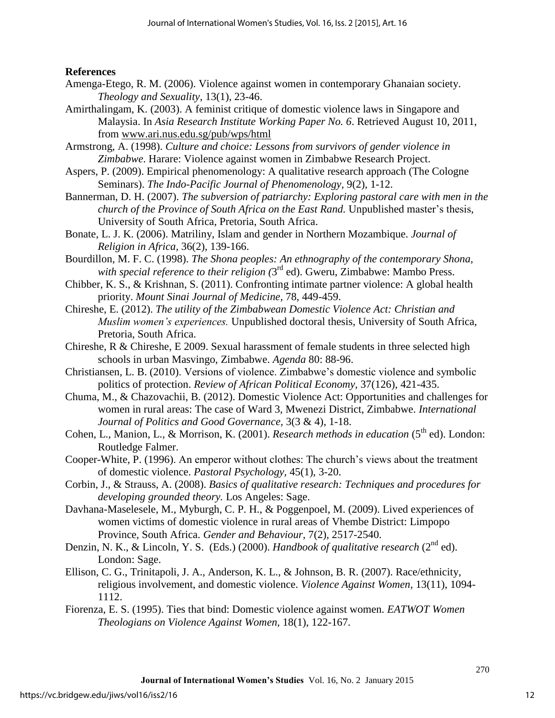### **References**

- Amenga-Etego, R. M. (2006). Violence against women in contemporary Ghanaian society. *Theology and Sexuality,* 13(1), 23-46.
- Amirthalingam, K. (2003). A feminist critique of domestic violence laws in Singapore and Malaysia. In *Asia Research Institute Working Paper No. 6*. Retrieved August 10, 2011, from [www.ari.nus.edu.sg/pub/wps/html](http://www.ari.nus.edu.sg/pub/wps/html)
- Armstrong, A. (1998). *Culture and choice: Lessons from survivors of gender violence in Zimbabwe*. Harare: Violence against women in Zimbabwe Research Project.
- Aspers, P. (2009). Empirical phenomenology: A qualitative research approach (The Cologne Seminars). *The Indo-Pacific Journal of Phenomenology,* 9(2), 1-12.
- Bannerman, D. H. (2007). *The subversion of patriarchy: Exploring pastoral care with men in the church of the Province of South Africa on the East Rand.* Unpublished master's thesis, University of South Africa, Pretoria, South Africa.
- Bonate, L. J. K. (2006). Matriliny, Islam and gender in Northern Mozambique. *Journal of Religion in Africa,* 36(2), 139-166.
- Bourdillon, M. F. C. (1998). *The Shona peoples: An ethnography of the contemporary Shona,*  with special reference to their religion (3<sup>rd</sup> ed). Gweru, Zimbabwe: Mambo Press.
- Chibber, K. S., & Krishnan, S. (2011). Confronting intimate partner violence: A global health priority. *Mount Sinai Journal of Medicine,* 78, 449-459.
- Chireshe, E. (2012). *The utility of the Zimbabwean Domestic Violence Act: Christian and Muslim women's experiences.* Unpublished doctoral thesis, University of South Africa, Pretoria, South Africa.
- Chireshe, R & Chireshe, E 2009. Sexual harassment of female students in three selected high schools in urban Masvingo, Zimbabwe. *Agenda* 80: 88-96.
- Christiansen, L. B. (2010). Versions of violence. Zimbabwe's domestic violence and symbolic politics of protection. *Review of African Political Economy,* 37(126), 421-435.
- Chuma, M., & Chazovachii, B. (2012). Domestic Violence Act: Opportunities and challenges for women in rural areas: The case of Ward 3, Mwenezi District, Zimbabwe. *International Journal of Politics and Good Governance,* 3(3 & 4), 1-18.
- Cohen, L., Manion, L., & Morrison, K. (2001). *Research methods in education* (5<sup>th</sup> ed). London: Routledge Falmer.
- Cooper-White, P. (1996). An emperor without clothes: The church's views about the treatment of domestic violence. *Pastoral Psychology,* 45(1), 3-20.
- Corbin, J., & Strauss, A. (2008). *Basics of qualitative research: Techniques and procedures for developing grounded theory.* Los Angeles: Sage.
- Davhana-Maselesele, M., Myburgh, C. P. H., & Poggenpoel, M. (2009). Lived experiences of women victims of domestic violence in rural areas of Vhembe District: Limpopo Province, South Africa. *Gender and Behaviour*, 7(2), 2517-2540.
- Denzin, N. K., & Lincoln, Y. S. (Eds.) (2000). *Handbook of qualitative research* (2<sup>nd</sup> ed). London: Sage.
- Ellison, C. G., Trinitapoli, J. A., Anderson, K. L., & Johnson, B. R. (2007). Race/ethnicity, religious involvement, and domestic violence. *Violence Against Women,* 13(11), 1094- 1112.
- Fiorenza, E. S. (1995). Ties that bind: Domestic violence against women. *EATWOT Women Theologians on Violence Against Women,* 18(1), 122-167.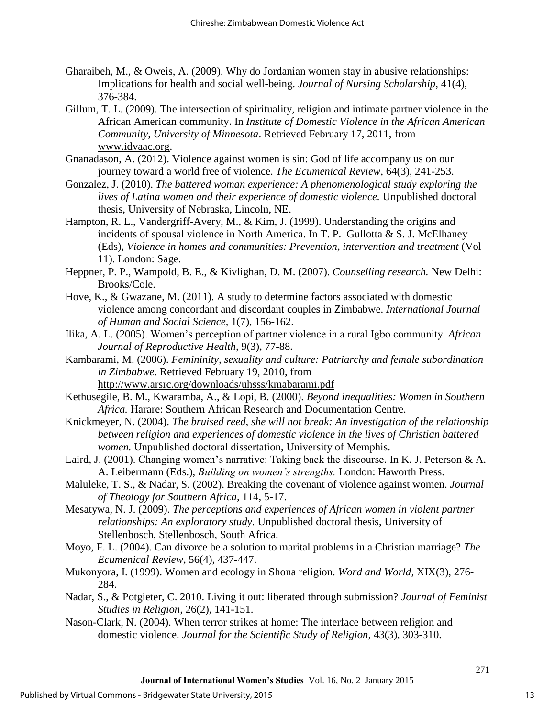- Gharaibeh, M., & Oweis, A. (2009). Why do Jordanian women stay in abusive relationships: Implications for health and social well-being. *Journal of Nursing Scholarship,* 41(4), 376-384.
- Gillum, T. L. (2009). The intersection of spirituality, religion and intimate partner violence in the African American community. In *Institute of Domestic Violence in the African American Community, University of Minnesota*. Retrieved February 17, 2011, from [www.idvaac.org.](http://www.idvaac.org/)
- Gnanadason, A. (2012). Violence against women is sin: God of life accompany us on our journey toward a world free of violence. *The Ecumenical Review,* 64(3), 241-253.
- Gonzalez, J. (2010). *The battered woman experience: A phenomenological study exploring the lives of Latina women and their experience of domestic violence.* Unpublished doctoral thesis, University of Nebraska, Lincoln, NE.
- Hampton, R. L., Vandergriff-Avery, M., & Kim, J. (1999). Understanding the origins and incidents of spousal violence in North America. In T. P. Gullotta  $& S. J. McElhaney$ (Eds), *Violence in homes and communities: Prevention, intervention and treatment* (Vol 11). London: Sage.
- Heppner, P. P., Wampold, B. E., & Kivlighan, D. M. (2007). *Counselling research.* New Delhi: Brooks/Cole.
- Hove, K., & Gwazane, M. (2011). A study to determine factors associated with domestic violence among concordant and discordant couples in Zimbabwe. *International Journal of Human and Social Science,* 1(7), 156-162.
- Ilika, A. L. (2005). Women's perception of partner violence in a rural Igbo community. *African Journal of Reproductive Health,* 9(3), 77-88.
- Kambarami, M. (2006). *Femininity, sexuality and culture: Patriarchy and female subordination in Zimbabwe.* Retrieved February 19, 2010, from <http://www.arsrc.org/downloads/uhsss/kmabarami.pdf>
- Kethusegile, B. M., Kwaramba, A., & Lopi, B. (2000). *Beyond inequalities: Women in Southern Africa.* Harare: Southern African Research and Documentation Centre.
- Knickmeyer, N. (2004). *The bruised reed, she will not break: An investigation of the relationship between religion and experiences of domestic violence in the lives of Christian battered women.* Unpublished doctoral dissertation, University of Memphis.
- Laird, J. (2001). Changing women's narrative: Taking back the discourse. In K. J. Peterson & A. A. Leibermann (Eds.), *Building on women's strengths.* London: Haworth Press.
- Maluleke, T. S., & Nadar, S. (2002). Breaking the covenant of violence against women. *Journal of Theology for Southern Africa,* 114, 5-17.
- Mesatywa, N. J. (2009). *The perceptions and experiences of African women in violent partner relationships: An exploratory study.* Unpublished doctoral thesis, University of Stellenbosch, Stellenbosch, South Africa.
- Moyo, F. L. (2004). Can divorce be a solution to marital problems in a Christian marriage? *The Ecumenical Review,* 56(4), 437-447.
- Mukonyora, I. (1999). Women and ecology in Shona religion. *Word and World,* XIX(3), 276- 284.
- Nadar, S., & Potgieter, C. 2010. Living it out: liberated through submission? *Journal of Feminist Studies in Religion,* 26(2), 141-151.
- Nason-Clark, N. (2004). When terror strikes at home: The interface between religion and domestic violence. *Journal for the Scientific Study of Religion,* 43(3), 303-310.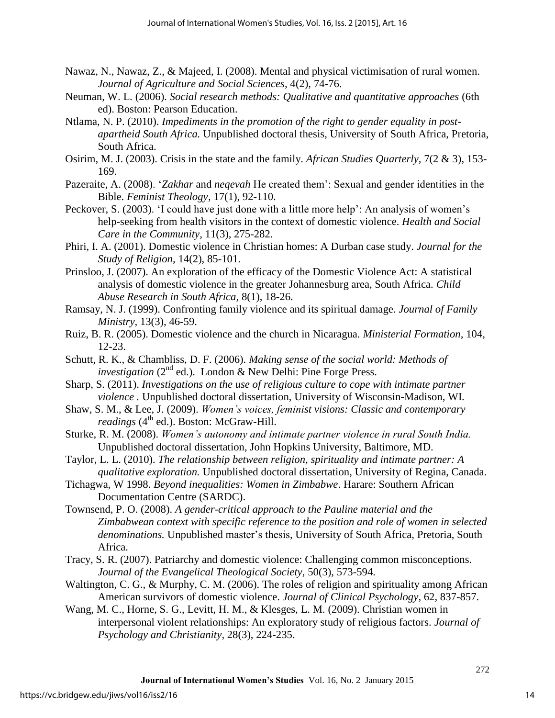- Nawaz, N., Nawaz, Z., & Majeed, I. (2008). Mental and physical victimisation of rural women. *Journal of Agriculture and Social Sciences,* 4(2), 74-76.
- Neuman, W. L. (2006). *Social research methods: Qualitative and quantitative approaches* (6th ed). Boston: Pearson Education.
- Ntlama, N. P. (2010). *Impediments in the promotion of the right to gender equality in postapartheid South Africa.* Unpublished doctoral thesis, University of South Africa, Pretoria, South Africa.
- Osirim, M. J. (2003). Crisis in the state and the family. *African Studies Quarterly,* 7(2 & 3), 153- 169.
- Pazeraite, A. (2008). '*Zakhar* and *neqevah* He created them': Sexual and gender identities in the Bible. *Feminist Theology,* 17(1), 92-110.
- Peckover, S. (2003). 'I could have just done with a little more help': An analysis of women's help-seeking from health visitors in the context of domestic violence. *Health and Social Care in the Community,* 11(3), 275-282.
- Phiri, I. A. (2001). Domestic violence in Christian homes: A Durban case study. *Journal for the Study of Religion,* 14(2), 85-101.
- Prinsloo, J. (2007). An exploration of the efficacy of the Domestic Violence Act: A statistical analysis of domestic violence in the greater Johannesburg area, South Africa. *Child Abuse Research in South Africa,* 8(1), 18-26.
- Ramsay, N. J. (1999). Confronting family violence and its spiritual damage. *Journal of Family Ministry,* 13(3), 46-59.
- Ruiz, B. R. (2005). Domestic violence and the church in Nicaragua. *Ministerial Formation,* 104, 12-23.
- Schutt, R. K., & Chambliss, D. F. (2006). *Making sense of the social world: Methods of investigation* (2<sup>nd</sup> ed.). London & New Delhi: Pine Forge Press.
- Sharp, S. (2011). *Investigations on the use of religious culture to cope with intimate partner violence .* Unpublished doctoral dissertation, University of Wisconsin-Madison, WI.
- Shaw, S. M., & Lee, J. (2009). *Women's voices, feminist visions: Classic and contemporary readings* (4<sup>th</sup> ed.). Boston: McGraw-Hill.
- Sturke, R. M. (2008). *Women's autonomy and intimate partner violence in rural South India.* Unpublished doctoral dissertation, John Hopkins University, Baltimore, MD.
- Taylor, L. L. (2010). *The relationship between religion, spirituality and intimate partner: A qualitative exploration.* Unpublished doctoral dissertation, University of Regina, Canada.
- Tichagwa, W 1998. *Beyond inequalities: Women in Zimbabwe*. Harare: Southern African Documentation Centre (SARDC).
- Townsend, P. O. (2008). *A gender-critical approach to the Pauline material and the Zimbabwean context with specific reference to the position and role of women in selected denominations.* Unpublished master's thesis, University of South Africa, Pretoria, South Africa.
- Tracy, S. R. (2007). Patriarchy and domestic violence: Challenging common misconceptions. *Journal of the Evangelical Theological Society,* 50(3), 573-594.
- Waltington, C. G., & Murphy, C. M. (2006). The roles of religion and spirituality among African American survivors of domestic violence. *Journal of Clinical Psychology,* 62, 837-857.
- Wang, M. C., Horne, S. G., Levitt, H. M., & Klesges, L. M. (2009). Christian women in interpersonal violent relationships: An exploratory study of religious factors. *Journal of Psychology and Christianity,* 28(3), 224-235.